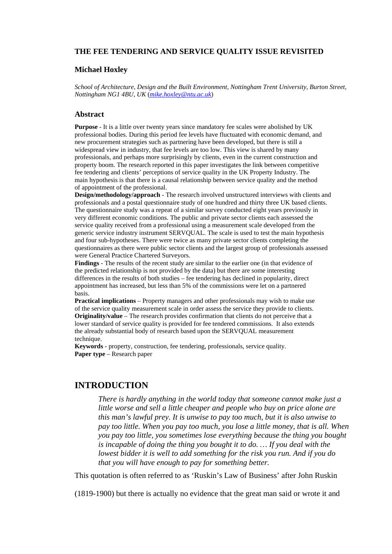# **THE FEE TENDERING AND SERVICE QUALITY ISSUE REVISITED**

### **Michael Hoxley**

*School of Architecture, Design and the Built Environment, Nottingham Trent University, Burton Street, Nottingham NG1 4BU, UK* (*[mike.hoxley@ntu.ac.uk](mailto:mike.hoxley@ntu.ac.uk)*)

#### **Abstract**

**Purpose** - It is a little over twenty years since mandatory fee scales were abolished by UK professional bodies. During this period fee levels have fluctuated with economic demand, and new procurement strategies such as partnering have been developed, but there is still a widespread view in industry, that fee levels are too low. This view is shared by many professionals, and perhaps more surprisingly by clients, even in the current construction and property boom. The research reported in this paper investigates the link between competitive fee tendering and clients' perceptions of service quality in the UK Property Industry. The main hypothesis is that there is a causal relationship between service quality and the method of appointment of the professional.

**Design/methodology/approach** - The research involved unstructured interviews with clients and professionals and a postal questionnaire study of one hundred and thirty three UK based clients. The questionnaire study was a repeat of a similar survey conducted eight years previously in very different economic conditions. The public and private sector clients each assessed the service quality received from a professional using a measurement scale developed from the generic service industry instrument SERVQUAL. The scale is used to test the main hypothesis and four sub-hypotheses. There were twice as many private sector clients completing the questionnaires as there were public sector clients and the largest group of professionals assessed were General Practice Chartered Surveyors.

**Findings** - The results of the recent study are similar to the earlier one (in that evidence of the predicted relationship is not provided by the data) but there are some interesting differences in the results of both studies – fee tendering has declined in popularity, direct appointment has increased, but less than 5% of the commissions were let on a partnered basis.

**Practical implications** – Property managers and other professionals may wish to make use of the service quality measurement scale in order assess the service they provide to clients. **Originality/value** – The research provides confirmation that clients do not perceive that a lower standard of service quality is provided for fee tendered commissions. It also extends the already substantial body of research based upon the SERVQUAL measurement technique.

**Keywords** - property, construction, fee tendering, professionals, service quality. **Paper type** – Research paper

# **INTRODUCTION**

*There is hardly anything in the world today that someone cannot make just a little worse and sell a little cheaper and people who buy on price alone are this man's lawful prey. It is unwise to pay too much, but it is also unwise to pay too little. When you pay too much, you lose a little money, that is all. When you pay too little, you sometimes lose everything because the thing you bought is incapable of doing the thing you bought it to do. … If you deal with the lowest bidder it is well to add something for the risk you run. And if you do that you will have enough to pay for something better.*

This quotation is often referred to as 'Ruskin's Law of Business' after John Ruskin

(1819-1900) but there is actually no evidence that the great man said or wrote it and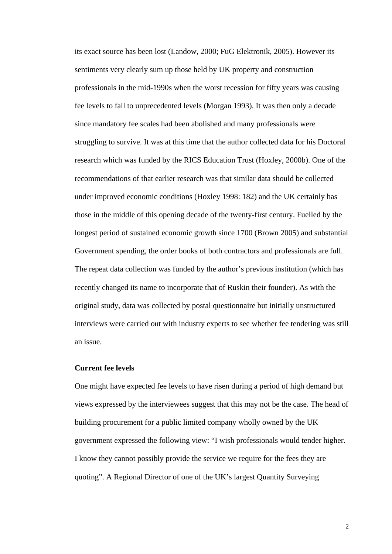its exact source has been lost (Landow, 2000; FuG Elektronik, 2005). However its sentiments very clearly sum up those held by UK property and construction professionals in the mid-1990s when the worst recession for fifty years was causing fee levels to fall to unprecedented levels (Morgan 1993). It was then only a decade since mandatory fee scales had been abolished and many professionals were struggling to survive. It was at this time that the author collected data for his Doctoral research which was funded by the RICS Education Trust (Hoxley, 2000b). One of the recommendations of that earlier research was that similar data should be collected under improved economic conditions (Hoxley 1998: 182) and the UK certainly has those in the middle of this opening decade of the twenty-first century. Fuelled by the longest period of sustained economic growth since 1700 (Brown 2005) and substantial Government spending, the order books of both contractors and professionals are full. The repeat data collection was funded by the author's previous institution (which has recently changed its name to incorporate that of Ruskin their founder). As with the original study, data was collected by postal questionnaire but initially unstructured interviews were carried out with industry experts to see whether fee tendering was still an issue.

### **Current fee levels**

One might have expected fee levels to have risen during a period of high demand but views expressed by the interviewees suggest that this may not be the case. The head of building procurement for a public limited company wholly owned by the UK government expressed the following view: "I wish professionals would tender higher. I know they cannot possibly provide the service we require for the fees they are quoting". A Regional Director of one of the UK's largest Quantity Surveying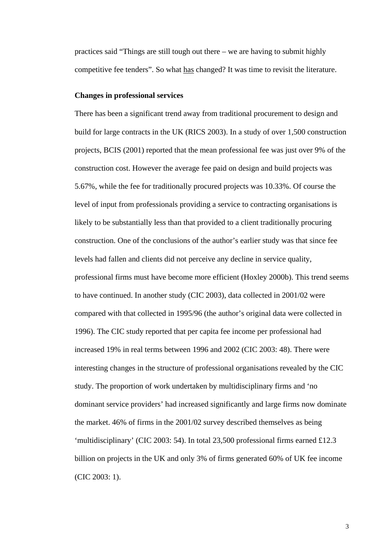practices said "Things are still tough out there – we are having to submit highly competitive fee tenders". So what has changed? It was time to revisit the literature.

#### **Changes in professional services**

There has been a significant trend away from traditional procurement to design and build for large contracts in the UK (RICS 2003). In a study of over 1,500 construction projects, BCIS (2001) reported that the mean professional fee was just over 9% of the construction cost. However the average fee paid on design and build projects was 5.67%, while the fee for traditionally procured projects was 10.33%. Of course the level of input from professionals providing a service to contracting organisations is likely to be substantially less than that provided to a client traditionally procuring construction. One of the conclusions of the author's earlier study was that since fee levels had fallen and clients did not perceive any decline in service quality, professional firms must have become more efficient (Hoxley 2000b). This trend seems to have continued. In another study (CIC 2003), data collected in 2001/02 were compared with that collected in 1995/96 (the author's original data were collected in 1996). The CIC study reported that per capita fee income per professional had increased 19% in real terms between 1996 and 2002 (CIC 2003: 48). There were interesting changes in the structure of professional organisations revealed by the CIC study. The proportion of work undertaken by multidisciplinary firms and 'no dominant service providers' had increased significantly and large firms now dominate the market. 46% of firms in the 2001/02 survey described themselves as being 'multidisciplinary' (CIC 2003: 54). In total 23,500 professional firms earned £12.3 billion on projects in the UK and only 3% of firms generated 60% of UK fee income (CIC 2003: 1).

3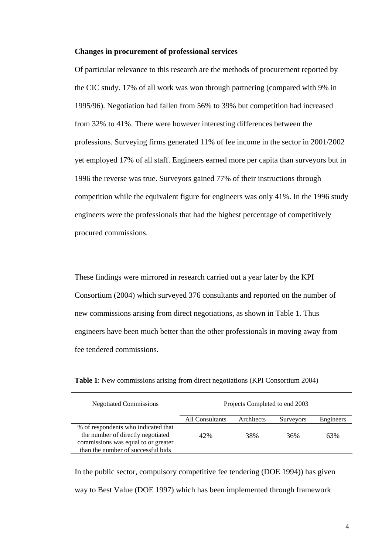#### **Changes in procurement of professional services**

Of particular relevance to this research are the methods of procurement reported by the CIC study. 17% of all work was won through partnering (compared with 9% in 1995/96). Negotiation had fallen from 56% to 39% but competition had increased from 32% to 41%. There were however interesting differences between the professions. Surveying firms generated 11% of fee income in the sector in 2001/2002 yet employed 17% of all staff. Engineers earned more per capita than surveyors but in 1996 the reverse was true. Surveyors gained 77% of their instructions through competition while the equivalent figure for engineers was only 41%. In the 1996 study engineers were the professionals that had the highest percentage of competitively procured commissions.

These findings were mirrored in research carried out a year later by the KPI Consortium (2004) which surveyed 376 consultants and reported on the number of new commissions arising from direct negotiations, as shown in Table 1. Thus engineers have been much better than the other professionals in moving away from fee tendered commissions.

| <b>Negotiated Commissions</b>                                                                                                                         | Projects Completed to end 2003 |            |           |           |
|-------------------------------------------------------------------------------------------------------------------------------------------------------|--------------------------------|------------|-----------|-----------|
|                                                                                                                                                       | All Consultants                | Architects | Surveyors | Engineers |
| % of respondents who indicated that<br>the number of directly negotiated<br>commissions was equal to or greater<br>than the number of successful bids | 42%                            | 38%        | 36%       | 63%       |

**Table 1**: New commissions arising from direct negotiations (KPI Consortium 2004)

In the public sector, compulsory competitive fee tendering (DOE 1994)) has given way to Best Value (DOE 1997) which has been implemented through framework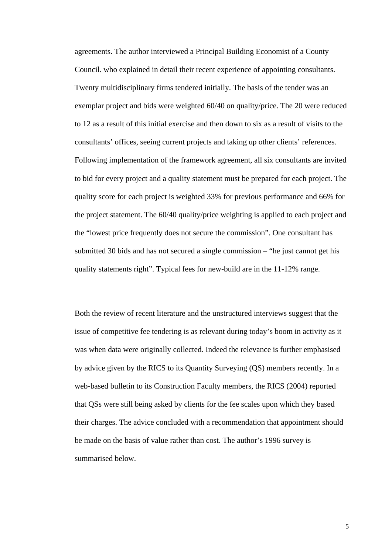agreements. The author interviewed a Principal Building Economist of a County Council. who explained in detail their recent experience of appointing consultants. Twenty multidisciplinary firms tendered initially. The basis of the tender was an exemplar project and bids were weighted 60/40 on quality/price. The 20 were reduced to 12 as a result of this initial exercise and then down to six as a result of visits to the consultants' offices, seeing current projects and taking up other clients' references. Following implementation of the framework agreement, all six consultants are invited to bid for every project and a quality statement must be prepared for each project. The quality score for each project is weighted 33% for previous performance and 66% for the project statement. The 60/40 quality/price weighting is applied to each project and the "lowest price frequently does not secure the commission". One consultant has submitted 30 bids and has not secured a single commission – "he just cannot get his quality statements right". Typical fees for new-build are in the 11-12% range.

Both the review of recent literature and the unstructured interviews suggest that the issue of competitive fee tendering is as relevant during today's boom in activity as it was when data were originally collected. Indeed the relevance is further emphasised by advice given by the RICS to its Quantity Surveying (QS) members recently. In a web-based bulletin to its Construction Faculty members, the RICS (2004) reported that QSs were still being asked by clients for the fee scales upon which they based their charges. The advice concluded with a recommendation that appointment should be made on the basis of value rather than cost. The author's 1996 survey is summarised below.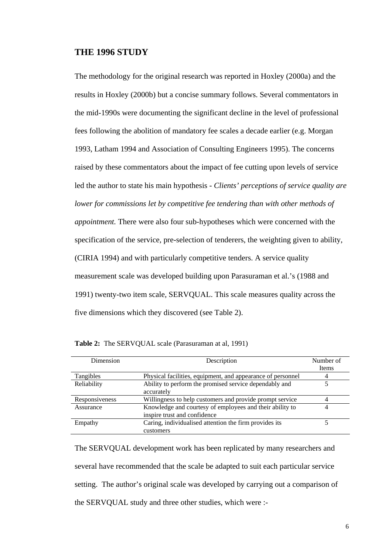# **THE 1996 STUDY**

The methodology for the original research was reported in Hoxley (2000a) and the results in Hoxley (2000b) but a concise summary follows. Several commentators in the mid-1990s were documenting the significant decline in the level of professional fees following the abolition of mandatory fee scales a decade earlier (e.g. Morgan 1993, Latham 1994 and Association of Consulting Engineers 1995). The concerns raised by these commentators about the impact of fee cutting upon levels of service led the author to state his main hypothesis - *Clients' perceptions of service quality are lower for commissions let by competitive fee tendering than with other methods of appointment.* There were also four sub-hypotheses which were concerned with the specification of the service, pre-selection of tenderers, the weighting given to ability, (CIRIA 1994) and with particularly competitive tenders. A service quality measurement scale was developed building upon Parasuraman et al.'s (1988 and 1991) twenty-two item scale, SERVQUAL. This scale measures quality across the five dimensions which they discovered (see Table 2).

| Dimension      | Description                                                                              | Number of<br>Items |
|----------------|------------------------------------------------------------------------------------------|--------------------|
| Tangibles      | Physical facilities, equipment, and appearance of personnel                              | 4                  |
| Reliability    | Ability to perform the promised service dependably and<br>accurately                     |                    |
| Responsiveness | Willingness to help customers and provide prompt service                                 |                    |
| Assurance      | Knowledge and courtesy of employees and their ability to<br>inspire trust and confidence |                    |
| Empathy        | Caring, individualised attention the firm provides its<br>customers                      |                    |

|  |  |  | <b>Table 2:</b> The SERVQUAL scale (Parasuraman at al, 1991) |  |
|--|--|--|--------------------------------------------------------------|--|
|--|--|--|--------------------------------------------------------------|--|

The SERVQUAL development work has been replicated by many researchers and several have recommended that the scale be adapted to suit each particular service setting. The author's original scale was developed by carrying out a comparison of the SERVQUAL study and three other studies, which were :-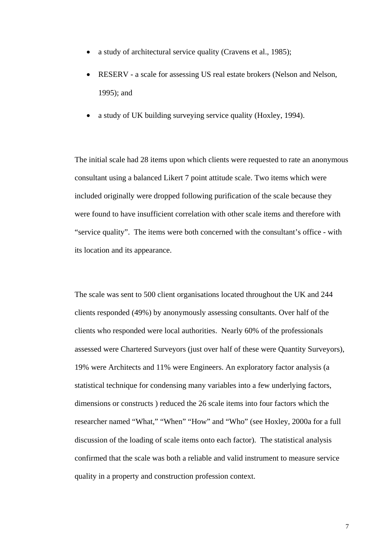- a study of architectural service quality (Cravens et al., 1985);
- RESERV a scale for assessing US real estate brokers (Nelson and Nelson, 1995); and
- a study of UK building surveying service quality (Hoxley, 1994).

The initial scale had 28 items upon which clients were requested to rate an anonymous consultant using a balanced Likert 7 point attitude scale. Two items which were included originally were dropped following purification of the scale because they were found to have insufficient correlation with other scale items and therefore with "service quality". The items were both concerned with the consultant's office - with its location and its appearance.

The scale was sent to 500 client organisations located throughout the UK and 244 clients responded (49%) by anonymously assessing consultants. Over half of the clients who responded were local authorities. Nearly 60% of the professionals assessed were Chartered Surveyors (just over half of these were Quantity Surveyors), 19% were Architects and 11% were Engineers. An exploratory factor analysis (a statistical technique for condensing many variables into a few underlying factors, dimensions or constructs ) reduced the 26 scale items into four factors which the researcher named "What," "When" "How" and "Who" (see Hoxley, 2000a for a full discussion of the loading of scale items onto each factor). The statistical analysis confirmed that the scale was both a reliable and valid instrument to measure service quality in a property and construction profession context.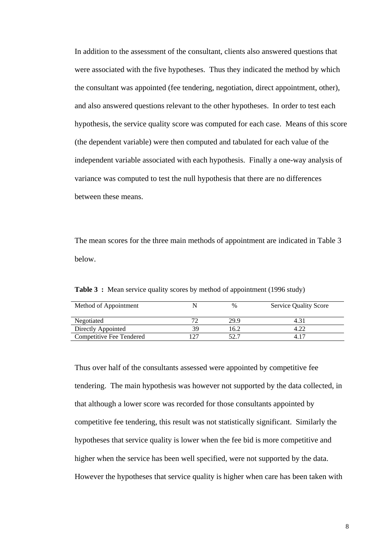In addition to the assessment of the consultant, clients also answered questions that were associated with the five hypotheses. Thus they indicated the method by which the consultant was appointed (fee tendering, negotiation, direct appointment, other), and also answered questions relevant to the other hypotheses. In order to test each hypothesis, the service quality score was computed for each case. Means of this score (the dependent variable) were then computed and tabulated for each value of the independent variable associated with each hypothesis. Finally a one-way analysis of variance was computed to test the null hypothesis that there are no differences between these means.

The mean scores for the three main methods of appointment are indicated in Table 3 below.

| Method of Appointment    |    | $\%$ | <b>Service Quality Score</b> |
|--------------------------|----|------|------------------------------|
| Negotiated               |    | 29 9 |                              |
| Directly Appointed       | 39 | 16.2 |                              |
| Competitive Fee Tendered |    |      |                              |

**Table 3** : Mean service quality scores by method of appointment (1996 study)

Thus over half of the consultants assessed were appointed by competitive fee tendering. The main hypothesis was however not supported by the data collected, in that although a lower score was recorded for those consultants appointed by competitive fee tendering, this result was not statistically significant. Similarly the hypotheses that service quality is lower when the fee bid is more competitive and higher when the service has been well specified, were not supported by the data. However the hypotheses that service quality is higher when care has been taken with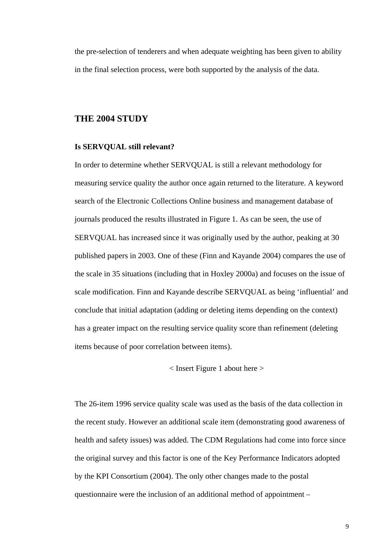the pre-selection of tenderers and when adequate weighting has been given to ability in the final selection process, were both supported by the analysis of the data.

### **THE 2004 STUDY**

#### **Is SERVQUAL still relevant?**

In order to determine whether SERVQUAL is still a relevant methodology for measuring service quality the author once again returned to the literature. A keyword search of the Electronic Collections Online business and management database of journals produced the results illustrated in Figure 1. As can be seen, the use of SERVQUAL has increased since it was originally used by the author, peaking at 30 published papers in 2003. One of these (Finn and Kayande 2004) compares the use of the scale in 35 situations (including that in Hoxley 2000a) and focuses on the issue of scale modification. Finn and Kayande describe SERVQUAL as being 'influential' and conclude that initial adaptation (adding or deleting items depending on the context) has a greater impact on the resulting service quality score than refinement (deleting items because of poor correlation between items).

< Insert Figure 1 about here >

The 26-item 1996 service quality scale was used as the basis of the data collection in the recent study. However an additional scale item (demonstrating good awareness of health and safety issues) was added. The CDM Regulations had come into force since the original survey and this factor is one of the Key Performance Indicators adopted by the KPI Consortium (2004). The only other changes made to the postal questionnaire were the inclusion of an additional method of appointment –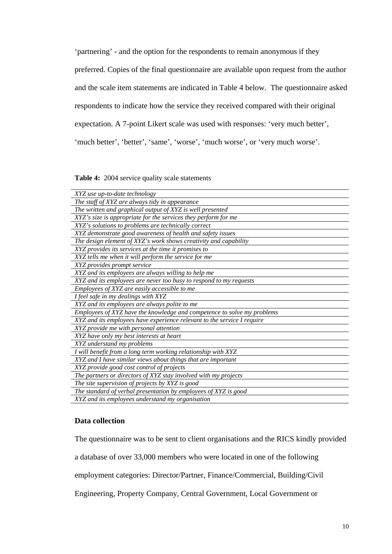'partnering' - and the option for the respondents to remain anonymous if they preferred. Copies of the final questionnaire are available upon request from the author and the scale item statements are indicated in Table 4 below. The questionnaire asked respondents to indicate how the service they received compared with their original expectation. A 7-point Likert scale was used with responses: 'very much better', 'much better', 'better', 'same', 'worse', 'much worse', or 'very much worse'.

**Table 4:** 2004 service quality scale statements

| XYZ use up-to-date technology                                           |  |
|-------------------------------------------------------------------------|--|
| The staff of XYZ are always tidy in appearance                          |  |
| The written and graphical output of XYZ is well presented               |  |
| XYZ's size is appropriate for the services they perform for me          |  |
| XYZ's solutions to problems are technically correct                     |  |
| XYZ demonstrate good awareness of health and safety issues              |  |
| The design element of XYZ's work shows creativity and capability        |  |
| XYZ provides its services at the time it promises to                    |  |
| XYZ tells me when it will perform the service for me                    |  |
| XYZ provides prompt service                                             |  |
| XYZ and its employees are always willing to help me                     |  |
| XYZ and its employees are never too busy to respond to my requests      |  |
| Employees of XYZ are easily accessible to me                            |  |
| I feel safe in my dealings with XYZ                                     |  |
| XYZ and its employees are always polite to me                           |  |
| Employees of XYZ have the knowledge and competence to solve my problems |  |
| XYZ and its employees have experience relevant to the service I require |  |
| XYZ provide me with personal attention                                  |  |
| XYZ have only my best interests at heart                                |  |
| XYZ understand my problems                                              |  |
| I will benefit from a long term working relationship with XYZ           |  |
| XYZ and I have similar views about things that are important            |  |
| XYZ provide good cost control of projects                               |  |
| The partners or directors of XYZ stay involved with my projects         |  |
| The site supervision of projects by XYZ is good                         |  |
| The standard of verbal presentation by employees of XYZ is good         |  |
| VV7 and its annloyees understand my organisation                        |  |

*XYZ and its employees understand my organisation* 

### **Data collection**

The questionnaire was to be sent to client organisations and the RICS kindly provided

a database of over 33,000 members who were located in one of the following

employment categories: Director/Partner, Finance/Commercial, Building/Civil

Engineering, Property Company, Central Government, Local Government or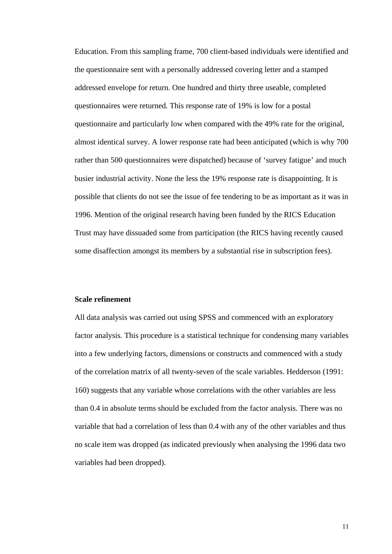Education. From this sampling frame, 700 client-based individuals were identified and the questionnaire sent with a personally addressed covering letter and a stamped addressed envelope for return. One hundred and thirty three useable, completed questionnaires were returned. This response rate of 19% is low for a postal questionnaire and particularly low when compared with the 49% rate for the original, almost identical survey. A lower response rate had been anticipated (which is why 700 rather than 500 questionnaires were dispatched) because of 'survey fatigue' and much busier industrial activity. None the less the 19% response rate is disappointing. It is possible that clients do not see the issue of fee tendering to be as important as it was in 1996. Mention of the original research having been funded by the RICS Education Trust may have dissuaded some from participation (the RICS having recently caused some disaffection amongst its members by a substantial rise in subscription fees).

### **Scale refinement**

All data analysis was carried out using SPSS and commenced with an exploratory factor analysis. This procedure is a statistical technique for condensing many variables into a few underlying factors, dimensions or constructs and commenced with a study of the correlation matrix of all twenty-seven of the scale variables. Hedderson (1991: 160) suggests that any variable whose correlations with the other variables are less than 0.4 in absolute terms should be excluded from the factor analysis. There was no variable that had a correlation of less than 0.4 with any of the other variables and thus no scale item was dropped (as indicated previously when analysing the 1996 data two variables had been dropped).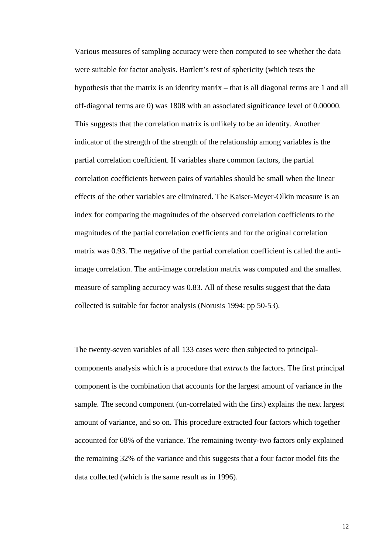Various measures of sampling accuracy were then computed to see whether the data were suitable for factor analysis. Bartlett's test of sphericity (which tests the hypothesis that the matrix is an identity matrix – that is all diagonal terms are 1 and all off-diagonal terms are 0) was 1808 with an associated significance level of 0.00000. This suggests that the correlation matrix is unlikely to be an identity. Another indicator of the strength of the strength of the relationship among variables is the partial correlation coefficient. If variables share common factors, the partial correlation coefficients between pairs of variables should be small when the linear effects of the other variables are eliminated. The Kaiser-Meyer-Olkin measure is an index for comparing the magnitudes of the observed correlation coefficients to the magnitudes of the partial correlation coefficients and for the original correlation matrix was 0.93. The negative of the partial correlation coefficient is called the antiimage correlation. The anti-image correlation matrix was computed and the smallest measure of sampling accuracy was 0.83. All of these results suggest that the data collected is suitable for factor analysis (Norusis 1994: pp 50-53).

The twenty-seven variables of all 133 cases were then subjected to principalcomponents analysis which is a procedure that *extracts* the factors. The first principal component is the combination that accounts for the largest amount of variance in the sample. The second component (un-correlated with the first) explains the next largest amount of variance, and so on. This procedure extracted four factors which together accounted for 68% of the variance. The remaining twenty-two factors only explained the remaining 32% of the variance and this suggests that a four factor model fits the data collected (which is the same result as in 1996).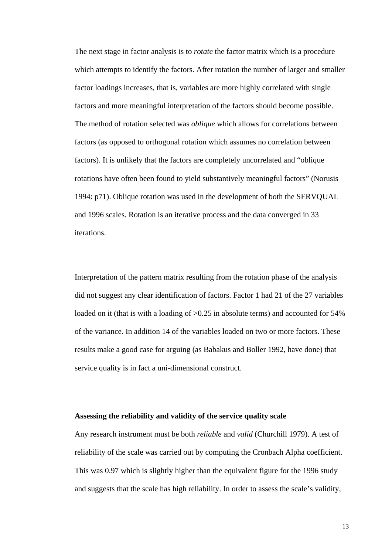The next stage in factor analysis is to *rotate* the factor matrix which is a procedure which attempts to identify the factors. After rotation the number of larger and smaller factor loadings increases, that is, variables are more highly correlated with single factors and more meaningful interpretation of the factors should become possible. The method of rotation selected was *oblique* which allows for correlations between factors (as opposed to orthogonal rotation which assumes no correlation between factors). It is unlikely that the factors are completely uncorrelated and "oblique rotations have often been found to yield substantively meaningful factors" (Norusis 1994: p71). Oblique rotation was used in the development of both the SERVQUAL and 1996 scales. Rotation is an iterative process and the data converged in 33 iterations.

Interpretation of the pattern matrix resulting from the rotation phase of the analysis did not suggest any clear identification of factors. Factor 1 had 21 of the 27 variables loaded on it (that is with a loading of  $>0.25$  in absolute terms) and accounted for 54% of the variance. In addition 14 of the variables loaded on two or more factors. These results make a good case for arguing (as Babakus and Boller 1992, have done) that service quality is in fact a uni-dimensional construct.

#### **Assessing the reliability and validity of the service quality scale**

Any research instrument must be both *reliable* and *valid* (Churchill 1979). A test of reliability of the scale was carried out by computing the Cronbach Alpha coefficient. This was 0.97 which is slightly higher than the equivalent figure for the 1996 study and suggests that the scale has high reliability. In order to assess the scale's validity,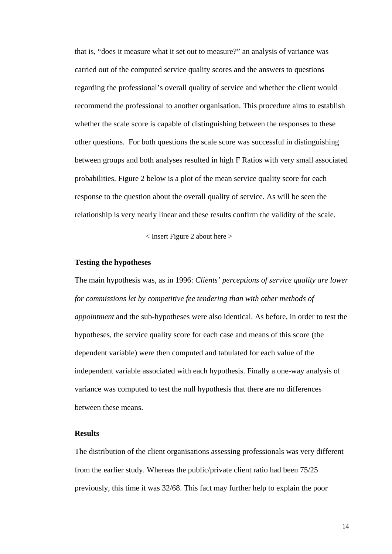that is, "does it measure what it set out to measure?" an analysis of variance was carried out of the computed service quality scores and the answers to questions regarding the professional's overall quality of service and whether the client would recommend the professional to another organisation. This procedure aims to establish whether the scale score is capable of distinguishing between the responses to these other questions. For both questions the scale score was successful in distinguishing between groups and both analyses resulted in high F Ratios with very small associated probabilities. Figure 2 below is a plot of the mean service quality score for each response to the question about the overall quality of service. As will be seen the relationship is very nearly linear and these results confirm the validity of the scale.

< Insert Figure 2 about here >

#### **Testing the hypotheses**

The main hypothesis was, as in 1996: *Clients' perceptions of service quality are lower for commissions let by competitive fee tendering than with other methods of appointment* and the sub-hypotheses were also identical. As before, in order to test the hypotheses, the service quality score for each case and means of this score (the dependent variable) were then computed and tabulated for each value of the independent variable associated with each hypothesis. Finally a one-way analysis of variance was computed to test the null hypothesis that there are no differences between these means.

#### **Results**

The distribution of the client organisations assessing professionals was very different from the earlier study. Whereas the public/private client ratio had been 75/25 previously, this time it was 32/68. This fact may further help to explain the poor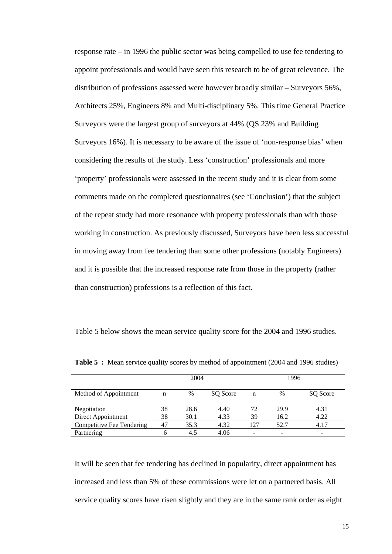response rate – in 1996 the public sector was being compelled to use fee tendering to appoint professionals and would have seen this research to be of great relevance. The distribution of professions assessed were however broadly similar – Surveyors 56%, Architects 25%, Engineers 8% and Multi-disciplinary 5%. This time General Practice Surveyors were the largest group of surveyors at 44% (QS 23% and Building Surveyors 16%). It is necessary to be aware of the issue of 'non-response bias' when considering the results of the study. Less 'construction' professionals and more 'property' professionals were assessed in the recent study and it is clear from some comments made on the completed questionnaires (see 'Conclusion') that the subject of the repeat study had more resonance with property professionals than with those working in construction. As previously discussed, Surveyors have been less successful in moving away from fee tendering than some other professions (notably Engineers) and it is possible that the increased response rate from those in the property (rather than construction) professions is a reflection of this fact.

Table 5 below shows the mean service quality score for the 2004 and 1996 studies.

|                           | 2004 |               |          | 1996 |      |          |
|---------------------------|------|---------------|----------|------|------|----------|
| Method of Appointment     | n    | $\frac{0}{0}$ | SO Score | n    | $\%$ | SQ Score |
| Negotiation               | 38   | 28.6          | 4.40     | 72   | 29.9 | 4.31     |
| Direct Appointment        | 38   | 30.1          | 4.33     | 39   | 16.2 | 4.22     |
| Competitive Fee Tendering | 47   | 35.3          | 4.32     | 127  | 52.7 | 4.17     |
| Partnering                |      | 4.5           | 4.06     |      |      |          |

**Table 5 :** Mean service quality scores by method of appointment (2004 and 1996 studies)

It will be seen that fee tendering has declined in popularity, direct appointment has increased and less than 5% of these commissions were let on a partnered basis. All service quality scores have risen slightly and they are in the same rank order as eight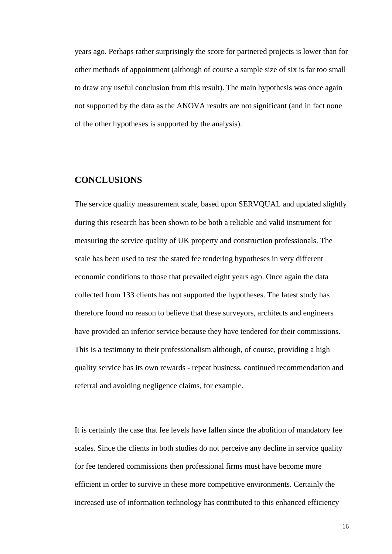years ago. Perhaps rather surprisingly the score for partnered projects is lower than for other methods of appointment (although of course a sample size of six is far too small to draw any useful conclusion from this result). The main hypothesis was once again not supported by the data as the ANOVA results are not significant (and in fact none of the other hypotheses is supported by the analysis).

# **CONCLUSIONS**

The service quality measurement scale, based upon SERVQUAL and updated slightly during this research has been shown to be both a reliable and valid instrument for measuring the service quality of UK property and construction professionals. The scale has been used to test the stated fee tendering hypotheses in very different economic conditions to those that prevailed eight years ago. Once again the data collected from 133 clients has not supported the hypotheses. The latest study has therefore found no reason to believe that these surveyors, architects and engineers have provided an inferior service because they have tendered for their commissions. This is a testimony to their professionalism although, of course, providing a high quality service has its own rewards - repeat business, continued recommendation and referral and avoiding negligence claims, for example.

It is certainly the case that fee levels have fallen since the abolition of mandatory fee scales. Since the clients in both studies do not perceive any decline in service quality for fee tendered commissions then professional firms must have become more efficient in order to survive in these more competitive environments. Certainly the increased use of information technology has contributed to this enhanced efficiency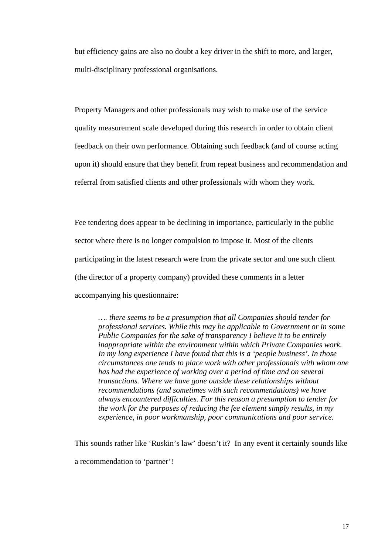but efficiency gains are also no doubt a key driver in the shift to more, and larger, multi-disciplinary professional organisations.

Property Managers and other professionals may wish to make use of the service quality measurement scale developed during this research in order to obtain client feedback on their own performance. Obtaining such feedback (and of course acting upon it) should ensure that they benefit from repeat business and recommendation and referral from satisfied clients and other professionals with whom they work.

Fee tendering does appear to be declining in importance, particularly in the public sector where there is no longer compulsion to impose it. Most of the clients participating in the latest research were from the private sector and one such client (the director of a property company) provided these comments in a letter accompanying his questionnaire:

*…. there seems to be a presumption that all Companies should tender for professional services. While this may be applicable to Government or in some Public Companies for the sake of transparency I believe it to be entirely inappropriate within the environment within which Private Companies work. In my long experience I have found that this is a 'people business'. In those circumstances one tends to place work with other professionals with whom one has had the experience of working over a period of time and on several transactions. Where we have gone outside these relationships without recommendations (and sometimes with such recommendations) we have always encountered difficulties. For this reason a presumption to tender for the work for the purposes of reducing the fee element simply results, in my experience, in poor workmanship, poor communications and poor service.* 

This sounds rather like 'Ruskin's law' doesn't it? In any event it certainly sounds like a recommendation to 'partner'!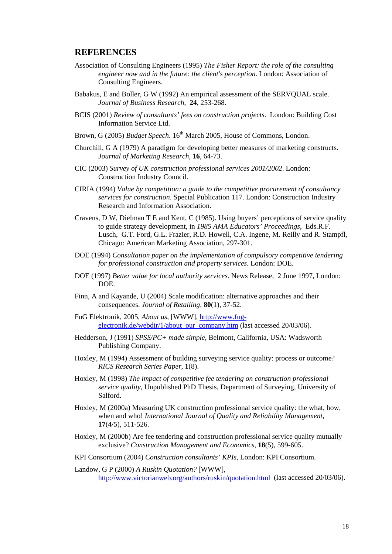# **REFERENCES**

- Association of Consulting Engineers (1995) *The Fisher Report: the role of the consulting engineer now and in the future: the client's perception*. London: Association of Consulting Engineers.
- Babakus, E and Boller, G W (1992) An empirical assessment of the SERVQUAL scale. *Journal of Business Research*, **24**, 253-268.
- BCIS (2001) *Review of consultants' fees on construction projects.* London: Building Cost Information Service Ltd.
- Brown, G (2005) *Budget Speech*. 16<sup>th</sup> March 2005, House of Commons, London.
- Churchill, G A (1979) A paradigm for developing better measures of marketing constructs. *Journal of Marketing Research*, **16**, 64-73.
- CIC (2003) *Survey of UK construction professional services 2001/2002*. London: Construction Industry Council.
- CIRIA (1994) *Value by competition: a guide to the competitive procurement of consultancy services for construction*. Special Publication 117. London: Construction Industry Research and Information Association.
- Cravens, D W, Dielman T E and Kent, C (1985). Using buyers' perceptions of service quality to guide strategy development, in *1985 AMA Educators' Proceedings*, Eds.R.F. Lusch, G.T. Ford, G.L. Frazier, R.D. Howell, C.A. Ingene, M. Reilly and R. Stampfl, Chicago: American Marketing Association, 297-301.
- DOE (1994) *Consultation paper on the implementation of compulsory competitive tendering for professional construction and property services*. London: DOE.
- DOE (1997) *Better value for local authority services.* News Release, 2 June 1997, London: DOE.
- Finn, A and Kayande, U (2004) Scale modification: alternative approaches and their consequences. *Journal of Retailing*, **80**(1), 37-52.
- FuG Elektronik, 2005, *About us*, [WWW], [http://www.fug](http://www.fug-electronik.de/webdir/1/about_our_company.htm)[electronik.de/webdir/1/about\\_our\\_company.htm](http://www.fug-electronik.de/webdir/1/about_our_company.htm) (last accessed 20/03/06).
- Hedderson, J (1991) *SPSS/PC+ made simple*, Belmont, California, USA: Wadsworth Publishing Company.
- Hoxley, M (1994) Assessment of building surveying service quality: process or outcome? *RICS Research Series Paper*, **1**(8).
- Hoxley, M (1998) *The impact of competitive fee tendering on construction professional service quality*, Unpublished PhD Thesis, Department of Surveying, University of Salford.
- Hoxley, M (2000a) Measuring UK construction professional service quality: the what, how, when and who! *International Journal of Quality and Reliability Management*, **17**(4/5), 511-526.
- Hoxley, M (2000b) Are fee tendering and construction professional service quality mutually exclusive? *Construction Management and Economics*, **18**(5), 599-605.
- KPI Consortium (2004) *Construction consultants' KPIs*, London: KPI Consortium.

Landow, G P (2000) *A Ruskin Quotation?* [WWW], <http://www.victorianweb.org/authors/ruskin/quotation.html>(last accessed 20/03/06).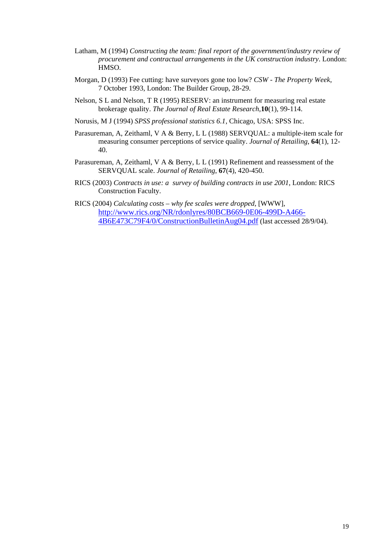- Latham, M (1994) *Constructing the team: final report of the government/industry review of procurement and contractual arrangements in the UK construction industry*. London: HMSO.
- Morgan, D (1993) Fee cutting: have surveyors gone too low? *CSW The Property Week*, 7 October 1993, London: The Builder Group, 28-29.
- Nelson, S L and Nelson, T R (1995) RESERV: an instrument for measuring real estate brokerage quality. *The Journal of Real Estate Research*,**10**(1), 99-114.
- Norusis, M J (1994) *SPSS professional statistics 6.1*, Chicago, USA: SPSS Inc.
- Parasureman, A, Zeithaml, V A & Berry, L L (1988) SERVQUAL: a multiple-item scale for measuring consumer perceptions of service quality. *Journal of Retailing*, **64**(1), 12- 40.
- Parasureman, A, Zeithaml, V A & Berry, L L (1991) Refinement and reassessment of the SERVQUAL scale. *Journal of Retailing*, **67**(4), 420-450.
- RICS (2003) *Contracts in use: a survey of building contracts in use 2001*, London: RICS Construction Faculty.
- RICS (2004) *Calculating costs why fee scales were dropped*, [WWW], [http://www.rics.org/NR/rdonlyres/80BCB669-0E06-499D-A466-](http://www.rics.org/NR/rdonlyres/80BCB669-0E06-499D-A466-4B6E473C79F4/0/ConstructionBulletinAug04.pdf) [4B6E473C79F4/0/ConstructionBulletinAug04.pdf](http://www.rics.org/NR/rdonlyres/80BCB669-0E06-499D-A466-4B6E473C79F4/0/ConstructionBulletinAug04.pdf) (last accessed 28/9/04).